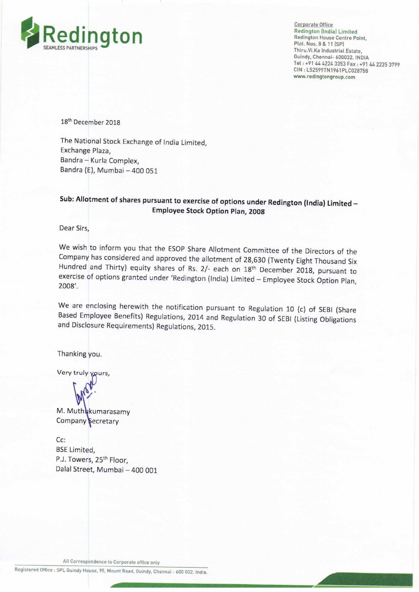

Corporate Office Redington [India] Limited Redington House Centre Point, Plot. Nos. 8 & 11 (SP) Thiru.Vi.Ka Industrial Estate, Guindy. Chennai- 600032, INDIA Tel: +91 44 4224 3353 Fax: +91 44 2225 3799 CIN : L52599TN1961PLC028758 www.redingtongroup.com

18'h December 2018

The National Stock Exchange of India Limited, Exchange Plaza, Bandra — Kurla Complex, Bandra (E), Mumbai —400 051

## Sub: Allotment of shares pursuant to exercise of options under Redington (India) Limited — Employee Stock Option Plan, 2008

Dear Sirs,

We wish to inform you that the ESOP Share Allotment Committee of the Directors of the Company has considered and approved the allotment of 28,630 (Twenty Eight Thousand Six Hundred and Thirty) equity shares of Rs. 2/- each on 18<sup>th</sup> December 2018, pursuant to exercise of options granted under 'Redington (India) Limited — Employee Stock Option Plan, 2008'.

We are enclosing herewith the notification pursuant to Regulation 10 (c) of SEBI (Share Based Employee Benefits) Regulations, 2014 and Regulation 30 of SEBI (Listing Obligations and Disclosure Requirements) Regulations, 20

Thanking you.

Very truly yours,

M. Muth kumarasamy Company Secretary

Cc: BSE Limited, P.J. Towers, 25<sup>th</sup> Floor. Dalal Street, Mumbai — 400 001

All Correspondence to Corporate office only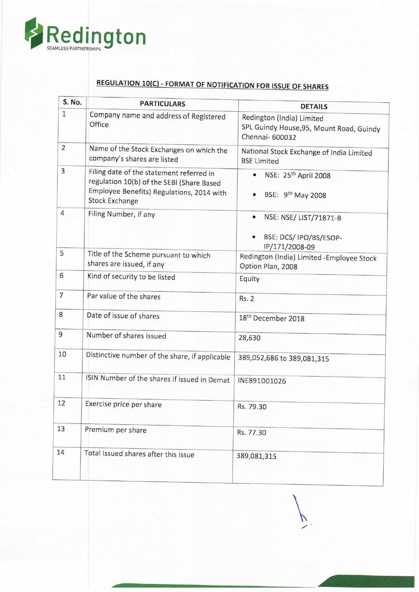

## REGULATION 10(C) - FORMAT OF NOTIFICATION FOR ISSUE OF SHARES

| S. No.         | <b>PARTICULARS</b>                                                                                                                                          | <b>DETAILS</b>                                                                           |
|----------------|-------------------------------------------------------------------------------------------------------------------------------------------------------------|------------------------------------------------------------------------------------------|
| $\mathbf{1}$   | Company name and address of Registered<br>Office                                                                                                            | Redington (India) Limited<br>SPL Guindy House, 95, Mount Road, Guindy<br>Chennai- 600032 |
| $\overline{2}$ | Name of the Stock Exchanges on which the<br>company's shares are listed                                                                                     | National Stock Exchange of India Limited<br><b>BSE Limited</b>                           |
| $\overline{3}$ | Filing date of the statement referred in<br>regulation 10(b) of the SEBI (Share Based<br>Employee Benefits) Regulations, 2014 with<br><b>Stock Exchange</b> | NSE: 25 <sup>th</sup> April 2008<br>$\bullet$<br>BSE: 9 <sup>th</sup> May 2008           |
| $\overline{4}$ | Filing Number, if any                                                                                                                                       | NSE: NSE/ LIST/71871-B<br>$\bullet$<br>BSE: DCS/ IPO/BS/ESOP-<br>IP/171/2008-09          |
| 5              | Title of the Scheme pursuant to which<br>shares are issued, if any                                                                                          | Redington (India) Limited -Employee Stock<br>Option Plan, 2008                           |
| 6              | Kind of security to be listed                                                                                                                               | Equity                                                                                   |
| $\overline{7}$ | Par value of the shares                                                                                                                                     | <b>Rs. 2</b>                                                                             |
| 8              | Date of issue of shares                                                                                                                                     | 18 <sup>th</sup> December 2018                                                           |
| 9              | Number of shares issued                                                                                                                                     | 28,630                                                                                   |
| 10             | Distinctive number of the share, if applicable                                                                                                              | 389,052,686 to 389,081,315                                                               |
| 11             | ISIN Number of the shares if issued in Demat                                                                                                                | INE891D01026                                                                             |
| 12             | Exercise price per share                                                                                                                                    | Rs. 79.30                                                                                |
| 13             | Premium per share                                                                                                                                           | Rs. 77.30                                                                                |
| 14             | Total Issued shares after this issue                                                                                                                        | 389,081,315                                                                              |

 $\overline{C}$